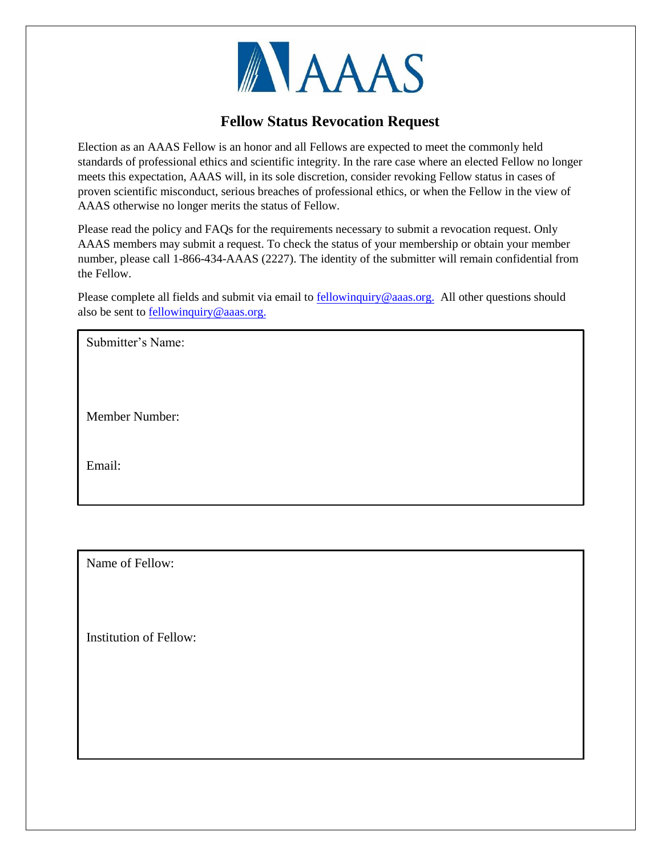

## **Fellow Status Revocation Request**

Election as an AAAS Fellow is an honor and all Fellows are expected to meet the commonly held standards of professional ethics and scientific integrity. In the rare case where an elected Fellow no longer meets this expectation, AAAS will, in its sole discretion, consider revoking Fellow status in cases of proven scientific misconduct, serious breaches of professional ethics, or when the Fellow in the view of AAAS otherwise no longer merits the status of Fellow.

Please read the policy and FAQs for the requirements necessary to submit a revocation request. Only AAAS members may submit a request. To check the status of your membership or obtain your member number, please call 1-866-434-AAAS (2227). The identity of the submitter will remain confidential from the Fellow.

Please complete all fields and submit via email t[o fellowinquiry@aaas.org.](mailto:fellowinquiry@aaas.org?subject=AAAS%20Fellow%20status%20revocation%20request) All other questions should also be sent to [fellowinquiry@aaas.org.](mailto:fellowinquiry@aaas.org)

Submitter's Name:

Member Number:

Email:

Name of Fellow:

Institution of Fellow: